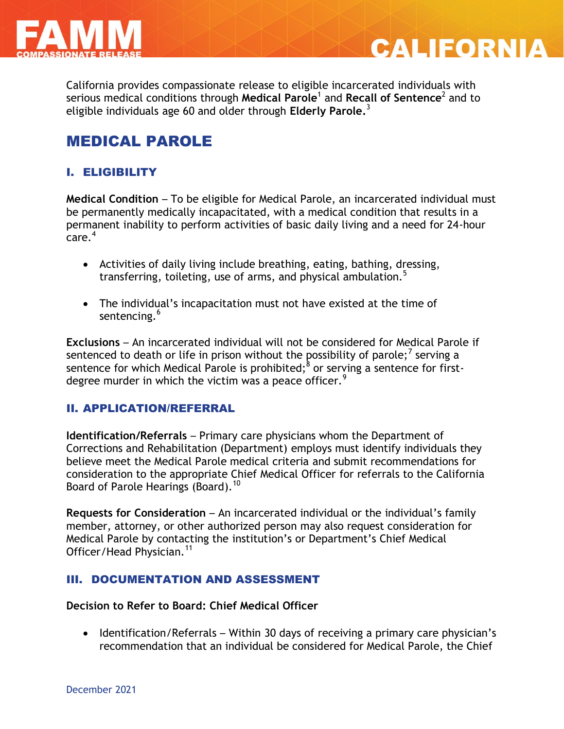



**CALIFORNIA** 

# MEDICAL PAROLE

## I. ELIGIBILITY

**Medical Condition** – To be eligible for Medical Parole, an incarcerated individual must be permanently medically incapacitated, with a medical condition that results in a permanent inability to perform activities of basic daily living and a need for 24-hour .<br>care.<sup>4</sup>

- Activities of daily living include breathing, eating, bathing, dressing, transferring, toileting, use of arms, and physical ambulation.<sup>5</sup>
- The individual's incapacitation must not have existed at the time of sentencing.<sup>6</sup>

**Exclusions** – An incarcerated individual will not be considered for Medical Parole if sentenced to death or life in prison without the possibility of parole;  $^7$  serving a sentence for which Medical Parole is prohibited; $^8$  or serving a sentence for firstdegree murder in which the victim was a peace officer. $<sup>9</sup>$ </sup>

#### II. APPLICATION/REFERRAL

**Identification/Referrals** – Primary care physicians whom the Department of Corrections and Rehabilitation (Department) employs must identify individuals they believe meet the Medical Parole medical criteria and submit recommendations for consideration to the appropriate Chief Medical Officer for referrals to the California Board of Parole Hearings (Board).<sup>10</sup>

**Requests for Consideration – An incarcerated individual or the individual's family** member, attorney, or other authorized person may also request consideration for Medical Parole by contacting the institution's or Department's Chief Medical Officer/Head Physician.<sup>11</sup>

#### III. DOCUMENTATION AND ASSESSMENT

#### **Decision to Refer to Board: Chief Medical Officer**

• Identification/Referrals – Within 30 days of receiving a primary care physician's recommendation that an individual be considered for Medical Parole, the Chief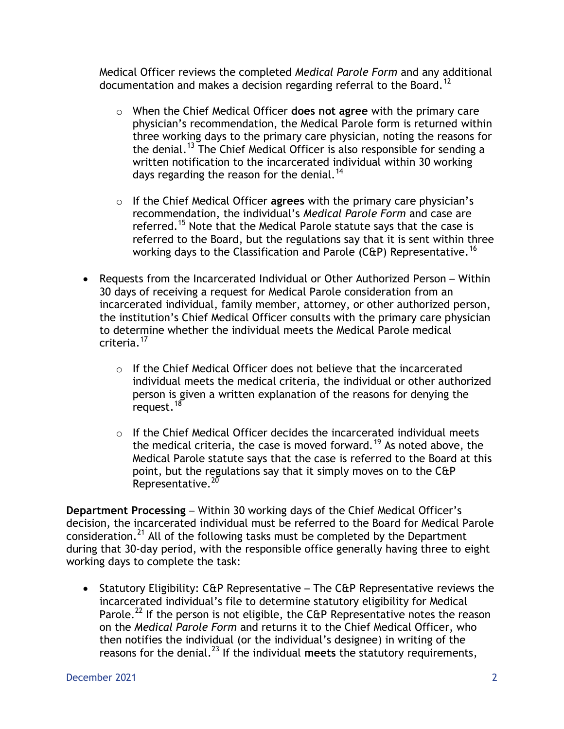Medical Officer reviews the completed *Medical Parole Form* and any additional documentation and makes a decision regarding referral to the Board.<sup>12</sup>

- o When the Chief Medical Officer **does not agree** with the primary care physician's recommendation, the Medical Parole form is returned within three working days to the primary care physician, noting the reasons for the denial.<sup>13</sup> The Chief Medical Officer is also responsible for sending a written notification to the incarcerated individual within 30 working days regarding the reason for the denial.<sup>14</sup>
- o If the Chief Medical Officer **agrees** with the primary care physician's recommendation, the individual's *Medical Parole Form* and case are referred.<sup>15</sup> Note that the Medical Parole statute says that the case is referred to the Board, but the regulations say that it is sent within three working days to the Classification and Parole (C&P) Representative.<sup>16</sup>
- Requests from the Incarcerated Individual or Other Authorized Person Within 30 days of receiving a request for Medical Parole consideration from an incarcerated individual, family member, attorney, or other authorized person, the institution's Chief Medical Officer consults with the primary care physician to determine whether the individual meets the Medical Parole medical criteria.<sup>17</sup>
	- $\circ$  If the Chief Medical Officer does not believe that the incarcerated individual meets the medical criteria, the individual or other authorized person is given a written explanation of the reasons for denying the request.<sup>18</sup>
	- o If the Chief Medical Officer decides the incarcerated individual meets the medical criteria, the case is moved forward.<sup>19</sup> As noted above, the Medical Parole statute says that the case is referred to the Board at this point, but the regulations say that it simply moves on to the C&P Representative.<sup>20</sup>

**Department Processing** – Within 30 working days of the Chief Medical Officer's decision, the incarcerated individual must be referred to the Board for Medical Parole consideration.<sup>21</sup> All of the following tasks must be completed by the Department during that 30-day period, with the responsible office generally having three to eight working days to complete the task:

• Statutory Eligibility:  $C\hat{u}P$  Representative – The  $C\hat{u}P$  Representative reviews the incarcerated individual's file to determine statutory eligibility for Medical Parole.<sup>22</sup> If the person is not eligible, the C&P Representative notes the reason on the *Medical Parole Form* and returns it to the Chief Medical Officer, who then notifies the individual (or the individual's designee) in writing of the reasons for the denial.<sup>23</sup> If the individual **meets** the statutory requirements,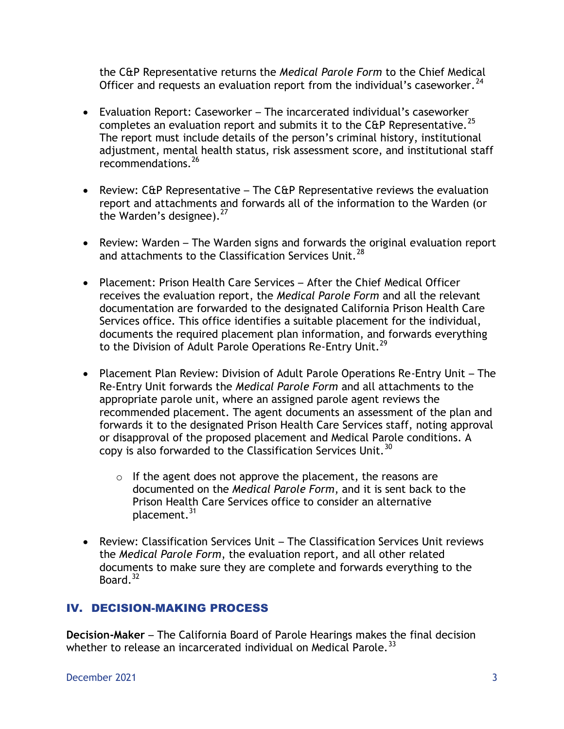the C&P Representative returns the *Medical Parole Form* to the Chief Medical Officer and requests an evaluation report from the individual's caseworker.  $24$ 

- Evaluation Report: Caseworker The incarcerated individual's caseworker completes an evaluation report and submits it to the C&P Representative.<sup>25</sup> The report must include details of the person's criminal history, institutional adjustment, mental health status, risk assessment score, and institutional staff recommendations.<sup>26</sup>
- **•** Review:  $C\&P$  Representative The  $C\&P$  Representative reviews the evaluation report and attachments and forwards all of the information to the Warden (or the Warden's designee). $27$
- Review: Warden The Warden signs and forwards the original evaluation report and attachments to the Classification Services Unit.<sup>28</sup>
- Placement: Prison Health Care Services After the Chief Medical Officer receives the evaluation report, the *Medical Parole Form* and all the relevant documentation are forwarded to the designated California Prison Health Care Services office. This office identifies a suitable placement for the individual, documents the required placement plan information, and forwards everything to the Division of Adult Parole Operations Re-Entry Unit.<sup>29</sup>
- Placement Plan Review: Division of Adult Parole Operations Re-Entry Unit The Re-Entry Unit forwards the *Medical Parole Form* and all attachments to the appropriate parole unit, where an assigned parole agent reviews the recommended placement. The agent documents an assessment of the plan and forwards it to the designated Prison Health Care Services staff, noting approval or disapproval of the proposed placement and Medical Parole conditions. A copy is also forwarded to the Classification Services Unit.<sup>30</sup>
	- $\circ$  If the agent does not approve the placement, the reasons are documented on the *Medical Parole Form*, and it is sent back to the Prison Health Care Services office to consider an alternative placement.<sup>31</sup>
- Review: Classification Services Unit The Classification Services Unit reviews the *Medical Parole Form*, the evaluation report, and all other related documents to make sure they are complete and forwards everything to the Board. $32$

## IV. DECISION-MAKING PROCESS

**Decision-Maker** – The California Board of Parole Hearings makes the final decision whether to release an incarcerated individual on Medical Parole.<sup>33</sup>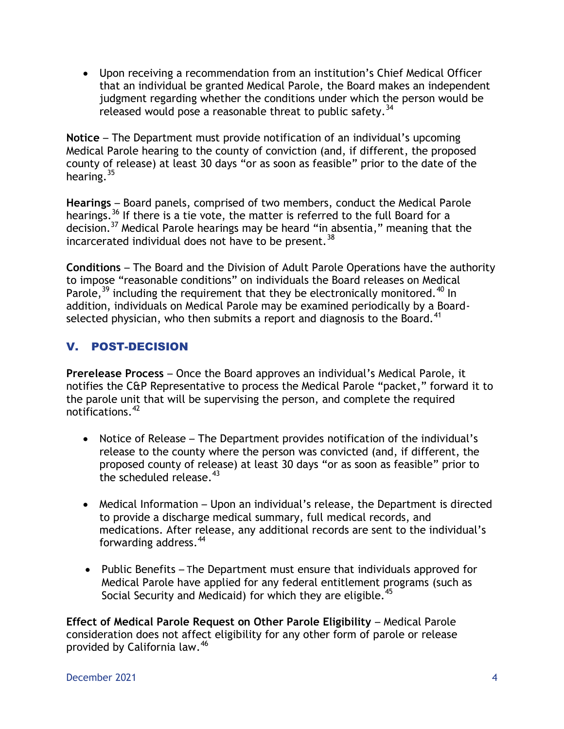Upon receiving a recommendation from an institution's Chief Medical Officer that an individual be granted Medical Parole, the Board makes an independent judgment regarding whether the conditions under which the person would be released would pose a reasonable threat to public safety.<sup>34</sup>

**Notice** – The Department must provide notification of an individual's upcoming Medical Parole hearing to the county of conviction (and, if different, the proposed county of release) at least 30 days "or as soon as feasible" prior to the date of the hearing. $35$ 

**Hearings** – Board panels, comprised of two members, conduct the Medical Parole hearings.<sup>36</sup> If there is a tie vote, the matter is referred to the full Board for a decision.<sup>37</sup> Medical Parole hearings may be heard "in absentia," meaning that the incarcerated individual does not have to be present.  $38$ 

**Conditions** – The Board and the Division of Adult Parole Operations have the authority to impose "reasonable conditions" on individuals the Board releases on Medical Parole,  $39$  including the requirement that they be electronically monitored.  $40$  In addition, individuals on Medical Parole may be examined periodically by a Boardselected physician, who then submits a report and diagnosis to the Board.<sup>41</sup>

## V. POST-DECISION

**Prerelease Process** – Once the Board approves an individual's Medical Parole, it notifies the C&P Representative to process the Medical Parole "packet," forward it to the parole unit that will be supervising the person, and complete the required notifications.<sup>42</sup>

- Notice of Release The Department provides notification of the individual's release to the county where the person was convicted (and, if different, the proposed county of release) at least 30 days "or as soon as feasible" prior to the scheduled release.<sup>43</sup>
- Medical Information Upon an individual's release, the Department is directed to provide a discharge medical summary, full medical records, and medications. After release, any additional records are sent to the individual's forwarding address.<sup>44</sup>
- Public Benefits The Department must ensure that individuals approved for Medical Parole have applied for any federal entitlement programs (such as Social Security and Medicaid) for which they are eligible.  $45$

**Effect of Medical Parole Request on Other Parole Eligibility - Medical Parole** consideration does not affect eligibility for any other form of parole or release provided by California law.<sup>46</sup>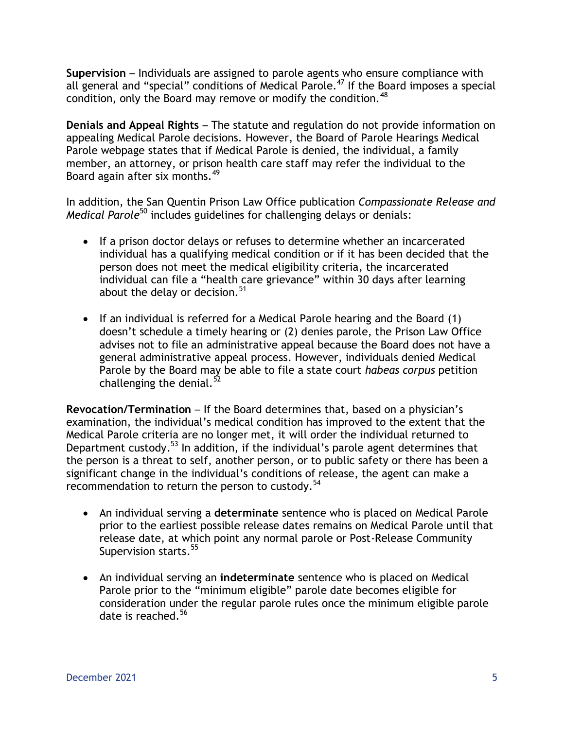**Supervision** – Individuals are assigned to parole agents who ensure compliance with all general and "special" conditions of Medical Parole.<sup>47</sup> If the Board imposes a special condition, only the Board may remove or modify the condition.<sup>48</sup>

**Denials and Appeal Rights** – The statute and regulation do not provide information on appealing Medical Parole decisions. However, the Board of Parole Hearings Medical Parole webpage states that if Medical Parole is denied, the individual, a family member, an attorney, or prison health care staff may refer the individual to the Board again after six months.<sup>49</sup>

In addition, the San Quentin Prison Law Office publication *Compassionate Release and Medical Parole*<sup>50</sup> includes guidelines for challenging delays or denials:

- If a prison doctor delays or refuses to determine whether an incarcerated individual has a qualifying medical condition or if it has been decided that the person does not meet the medical eligibility criteria, the incarcerated individual can file a "health care grievance" within 30 days after learning about the delay or decision.<sup>51</sup>
- If an individual is referred for a Medical Parole hearing and the Board (1) doesn't schedule a timely hearing or (2) denies parole, the Prison Law Office advises not to file an administrative appeal because the Board does not have a general administrative appeal process. However, individuals denied Medical Parole by the Board may be able to file a state court *habeas corpus* petition challenging the denial. $52$

**Revocation/Termination** – If the Board determines that, based on a physician's examination, the individual's medical condition has improved to the extent that the Medical Parole criteria are no longer met, it will order the individual returned to Department custody.<sup>53</sup> In addition, if the individual's parole agent determines that the person is a threat to self, another person, or to public safety or there has been a significant change in the individual's conditions of release, the agent can make a recommendation to return the person to custody.<sup>54</sup>

- An individual serving a **determinate** sentence who is placed on Medical Parole prior to the earliest possible release dates remains on Medical Parole until that release date, at which point any normal parole or Post-Release Community Supervision starts.<sup>55</sup>
- An individual serving an **indeterminate** sentence who is placed on Medical Parole prior to the "minimum eligible" parole date becomes eligible for consideration under the regular parole rules once the minimum eligible parole date is reached.<sup>56</sup>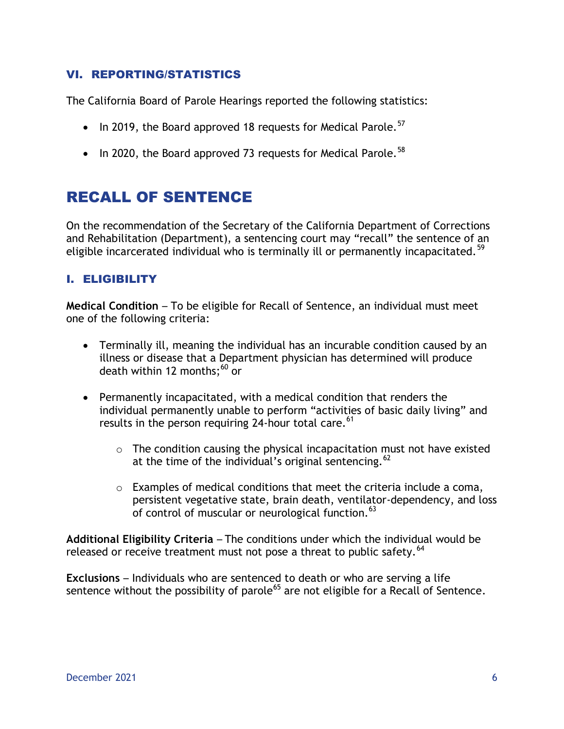#### VI. REPORTING/STATISTICS

The California Board of Parole Hearings reported the following statistics:

- $\bullet$  In 2019, the Board approved 18 requests for Medical Parole.<sup>57</sup>
- $\bullet$  In 2020, the Board approved 73 requests for Medical Parole.<sup>58</sup>

# RECALL OF SENTENCE

On the recommendation of the Secretary of the California Department of Corrections and Rehabilitation (Department), a sentencing court may "recall" the sentence of an eligible incarcerated individual who is terminally ill or permanently incapacitated.<sup>59</sup>

### I. ELIGIBILITY

**Medical Condition** – To be eligible for Recall of Sentence, an individual must meet one of the following criteria:

- Terminally ill, meaning the individual has an incurable condition caused by an illness or disease that a Department physician has determined will produce death within 12 months: $^{60}$  or
- Permanently incapacitated, with a medical condition that renders the individual permanently unable to perform "activities of basic daily living" and results in the person requiring 24-hour total care.  $61$ 
	- $\circ$  The condition causing the physical incapacitation must not have existed at the time of the individual's original sentencing.  $62$
	- o Examples of medical conditions that meet the criteria include a coma, persistent vegetative state, brain death, ventilator-dependency, and loss of control of muscular or neurological function.  $63$

**Additional Eligibility Criteria** – The conditions under which the individual would be released or receive treatment must not pose a threat to public safety.<sup>64</sup>

**Exclusions** – Individuals who are sentenced to death or who are serving a life sentence without the possibility of parole<sup>65</sup> are not eligible for a Recall of Sentence.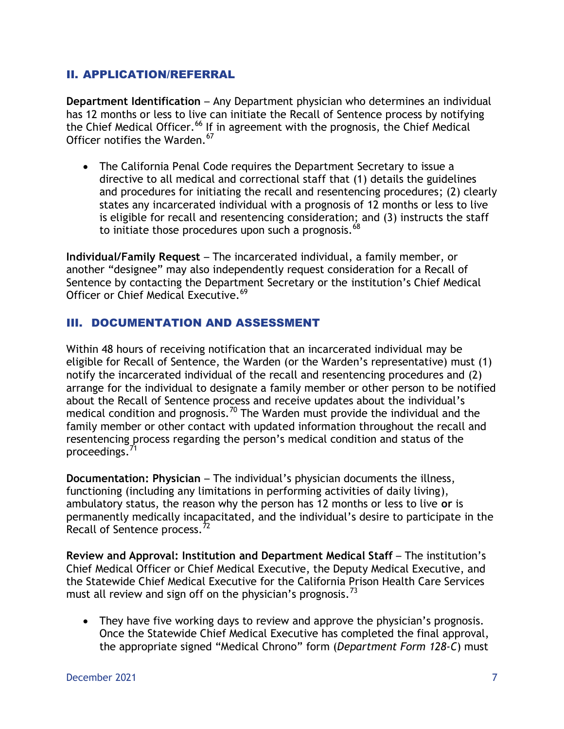#### II. APPLICATION/REFERRAL

**Department Identification** – Any Department physician who determines an individual has 12 months or less to live can initiate the Recall of Sentence process by notifying the Chief Medical Officer.<sup>66</sup> If in agreement with the prognosis, the Chief Medical Officer notifies the Warden.  $^{67}$ 

 The California Penal Code requires the Department Secretary to issue a directive to all medical and correctional staff that (1) details the guidelines and procedures for initiating the recall and resentencing procedures; (2) clearly states any incarcerated individual with a prognosis of 12 months or less to live is eligible for recall and resentencing consideration; and (3) instructs the staff to initiate those procedures upon such a prognosis.<sup>68</sup>

**Individual/Family Request** – The incarcerated individual, a family member, or another "designee" may also independently request consideration for a Recall of Sentence by contacting the Department Secretary or the institution's Chief Medical Officer or Chief Medical Executive.<sup>69</sup>

#### III. DOCUMENTATION AND ASSESSMENT

Within 48 hours of receiving notification that an incarcerated individual may be eligible for Recall of Sentence, the Warden (or the Warden's representative) must (1) notify the incarcerated individual of the recall and resentencing procedures and (2) arrange for the individual to designate a family member or other person to be notified about the Recall of Sentence process and receive updates about the individual's medical condition and prognosis.<sup>70</sup> The Warden must provide the individual and the family member or other contact with updated information throughout the recall and resentencing process regarding the person's medical condition and status of the proceedings.<sup>7</sup>

**Documentation: Physician** – The individual's physician documents the illness, functioning (including any limitations in performing activities of daily living), ambulatory status, the reason why the person has 12 months or less to live **or** is permanently medically incapacitated, and the individual's desire to participate in the Recall of Sentence process.<sup>72</sup>

**Review and Approval: Institution and Department Medical Staff** – The institution's Chief Medical Officer or Chief Medical Executive, the Deputy Medical Executive, and the Statewide Chief Medical Executive for the California Prison Health Care Services must all review and sign off on the physician's prognosis.<sup>73</sup>

 They have five working days to review and approve the physician's prognosis. Once the Statewide Chief Medical Executive has completed the final approval, the appropriate signed "Medical Chrono" form (*Department Form 128-C*) must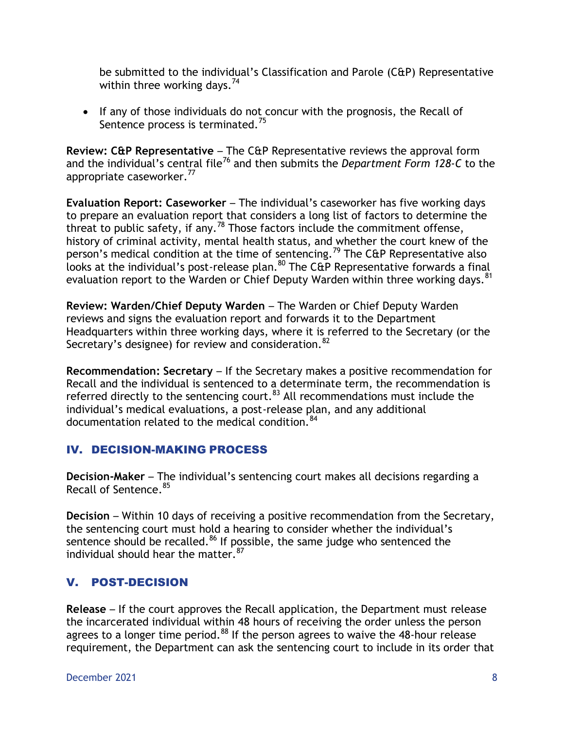be submitted to the individual's Classification and Parole (C&P) Representative within three working days.<sup>74</sup>

• If any of those individuals do not concur with the prognosis, the Recall of Sentence process is terminated.<sup>75</sup>

**Review: C&P Representative** – The C&P Representative reviews the approval form and the individual's central file<sup>76</sup> and then submits the *Department Form 128-C* to the appropriate caseworker.<sup>77</sup>

**Evaluation Report: Caseworker** – The individual's caseworker has five working days to prepare an evaluation report that considers a long list of factors to determine the threat to public safety, if any.<sup>78</sup> Those factors include the commitment offense, history of criminal activity, mental health status, and whether the court knew of the person's medical condition at the time of sentencing.<sup>79</sup> The C&P Representative also looks at the individual's post-release plan.<sup>80</sup> The C&P Representative forwards a final evaluation report to the Warden or Chief Deputy Warden within three working days.<sup>81</sup>

**Review: Warden/Chief Deputy Warden** – The Warden or Chief Deputy Warden reviews and signs the evaluation report and forwards it to the Department Headquarters within three working days, where it is referred to the Secretary (or the Secretary's designee) for review and consideration.<sup>82</sup>

**Recommendation: Secretary** – If the Secretary makes a positive recommendation for Recall and the individual is sentenced to a determinate term, the recommendation is referred directly to the sentencing court. $83$  All recommendations must include the individual's medical evaluations, a post-release plan, and any additional documentation related to the medical condition.<sup>84</sup>

## IV. DECISION-MAKING PROCESS

**Decision-Maker** – The individual's sentencing court makes all decisions regarding a Recall of Sentence.<sup>85</sup>

**Decision** – Within 10 days of receiving a positive recommendation from the Secretary, the sentencing court must hold a hearing to consider whether the individual's sentence should be recalled. $86$  If possible, the same judge who sentenced the individual should hear the matter.  $87$ 

## V. POST-DECISION

**Release** – If the court approves the Recall application, the Department must release the incarcerated individual within 48 hours of receiving the order unless the person agrees to a longer time period.<sup>88</sup> If the person agrees to waive the 48-hour release requirement, the Department can ask the sentencing court to include in its order that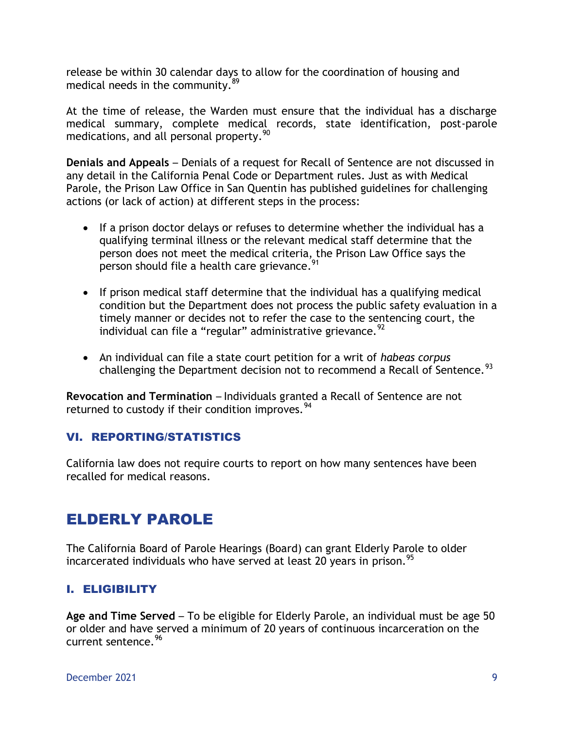release be within 30 calendar days to allow for the coordination of housing and medical needs in the community. $89$ 

At the time of release, the Warden must ensure that the individual has a discharge medical summary, complete medical records, state identification, post-parole medications, and all personal property.  $90$ 

**Denials and Appeals** – Denials of a request for Recall of Sentence are not discussed in any detail in the California Penal Code or Department rules. Just as with Medical Parole, the Prison Law Office in San Quentin has published guidelines for challenging actions (or lack of action) at different steps in the process:

- If a prison doctor delays or refuses to determine whether the individual has a qualifying terminal illness or the relevant medical staff determine that the person does not meet the medical criteria, the Prison Law Office says the person should file a health care grievance.<sup>91</sup>
- If prison medical staff determine that the individual has a qualifying medical condition but the Department does not process the public safety evaluation in a timely manner or decides not to refer the case to the sentencing court, the individual can file a "regular" administrative grievance.  $92$
- An individual can file a state court petition for a writ of *habeas corpus* challenging the Department decision not to recommend a Recall of Sentence.  $93$

**Revocation and Termination** – Individuals granted a Recall of Sentence are not returned to custody if their condition improves.<sup>94</sup>

#### VI. REPORTING/STATISTICS

California law does not require courts to report on how many sentences have been recalled for medical reasons.

# ELDERLY PAROLE

The California Board of Parole Hearings (Board) can grant Elderly Parole to older incarcerated individuals who have served at least 20 vears in prison.<sup>95</sup>

## I. ELIGIBILITY

**Age and Time Served** – To be eligible for Elderly Parole, an individual must be age 50 or older and have served a minimum of 20 years of continuous incarceration on the current sentence.<sup>96</sup>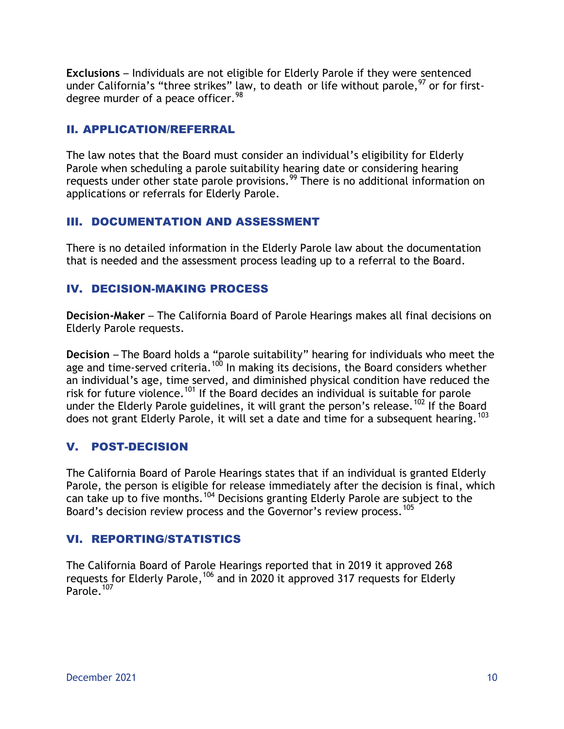**Exclusions** – Individuals are not eligible for Elderly Parole if they were sentenced under California's "three strikes" law, to death or life without parole,  $97$  or for firstdegree murder of a peace officer.<sup>98</sup>

#### II. APPLICATION/REFERRAL

The law notes that the Board must consider an individual's eligibility for Elderly Parole when scheduling a parole suitability hearing date or considering hearing requests under other state parole provisions.<sup>99</sup> There is no additional information on applications or referrals for Elderly Parole.

### III. DOCUMENTATION AND ASSESSMENT

There is no detailed information in the Elderly Parole law about the documentation that is needed and the assessment process leading up to a referral to the Board.

### IV. DECISION-MAKING PROCESS

**Decision-Maker** – The California Board of Parole Hearings makes all final decisions on Elderly Parole requests.

**Decision** – The Board holds a "parole suitability" hearing for individuals who meet the age and time-served criteria.<sup>100</sup> In making its decisions, the Board considers whether an individual's age, time served, and diminished physical condition have reduced the risk for future violence.<sup>101</sup> If the Board decides an individual is suitable for parole under the Elderly Parole guidelines, it will grant the person's release.<sup>102</sup> If the Board does not grant Elderly Parole, it will set a date and time for a subsequent hearing.  $103$ 

## V. POST-DECISION

The California Board of Parole Hearings states that if an individual is granted Elderly Parole, the person is eligible for release immediately after the decision is final, which can take up to five months.<sup>104</sup> Decisions granting Elderly Parole are subject to the Board's decision review process and the Governor's review process.<sup>105</sup>

## VI. REPORTING/STATISTICS

The California Board of Parole Hearings reported that in 2019 it approved 268 requests for Elderly Parole,  $106$  and in 2020 it approved 317 requests for Elderly Parole.<sup>107</sup>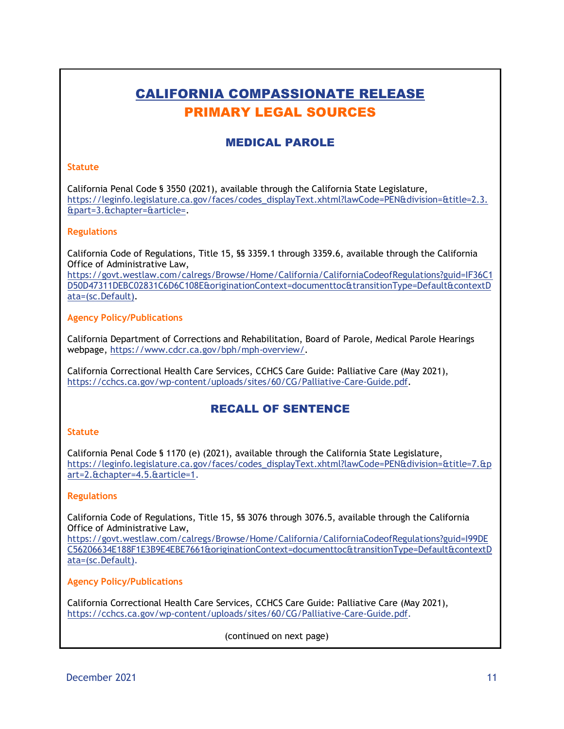# CALIFORNIA COMPASSIONATE RELEASE PRIMARY LEGAL SOURCES

#### MEDICAL PAROLE

#### **Statute**

California Penal Code § 3550 (2021), available through the California State Legislature, [https://leginfo.legislature.ca.gov/faces/codes\\_displayText.xhtml?lawCode=PEN&division=&title=2.3.](https://leginfo.legislature.ca.gov/faces/codes_displayText.xhtml?lawCode=PEN&division=&title=2.3.&part=3.&chapter=&article=) [&part=3.&chapter=&article=.](https://leginfo.legislature.ca.gov/faces/codes_displayText.xhtml?lawCode=PEN&division=&title=2.3.&part=3.&chapter=&article=)

#### **Regulations**

California Code of Regulations, Title 15, §§ 3359.1 through 3359.6, available through the California Office of Administrative Law,

[https://govt.westlaw.com/calregs/Browse/Home/California/CaliforniaCodeofRegulations?guid=IF36C1](https://govt.westlaw.com/calregs/Browse/Home/California/CaliforniaCodeofRegulations?guid=IF36C1D50D47311DEBC02831C6D6C108E&originationContext=documenttoc&transitionType=Default&contextData=(sc.Default)) [D50D47311DEBC02831C6D6C108E&originationContext=documenttoc&transitionType=Default&contextD](https://govt.westlaw.com/calregs/Browse/Home/California/CaliforniaCodeofRegulations?guid=IF36C1D50D47311DEBC02831C6D6C108E&originationContext=documenttoc&transitionType=Default&contextData=(sc.Default)) [ata=\(sc.Default\).](https://govt.westlaw.com/calregs/Browse/Home/California/CaliforniaCodeofRegulations?guid=IF36C1D50D47311DEBC02831C6D6C108E&originationContext=documenttoc&transitionType=Default&contextData=(sc.Default))

#### **Agency Policy/Publications**

California Department of Corrections and Rehabilitation, Board of Parole, Medical Parole Hearings webpage, [https://www.cdcr.ca.gov/bph/mph-overview/.](https://www.cdcr.ca.gov/bph/mph-overview/)

California Correctional Health Care Services, CCHCS Care Guide: Palliative Care (May 2021), [https://cchcs.ca.gov/wp-content/uploads/sites/60/CG/Palliative-Care-Guide.pdf.](https://cchcs.ca.gov/wp-content/uploads/sites/60/CG/Palliative-Care-Guide.pdf)

#### RECALL OF SENTENCE

#### **Statute**

California Penal Code § 1170 (e) (2021), available through the California State Legislature, [https://leginfo.legislature.ca.gov/faces/codes\\_displayText.xhtml?lawCode=PEN&division=&title=7.&p](https://leginfo.legislature.ca.gov/faces/codes_displayText.xhtml?lawCode=PEN&division=&title=7.&part=2.&chapter=4.5.&article=1) [art=2.&chapter=4.5.&article=1.](https://leginfo.legislature.ca.gov/faces/codes_displayText.xhtml?lawCode=PEN&division=&title=7.&part=2.&chapter=4.5.&article=1)

#### **Regulations**

California Code of Regulations, Title 15, §§ 3076 through 3076.5, available through the California Office of Administrative Law,

https://govt.westlaw.com/calregs/Browse/Home/California/CaliforniaCodeofRegulations?guid=I99DE C56206634E188F1E3B9E4EBE7661&originationContext=documenttoc&transitionType=Default&contextD ata=(sc.Default).

#### **Agency Policy/Publications**

California Correctional Health Care Services, CCHCS Care Guide: Palliative Care (May 2021), https://cchcs.ca.gov/wp-content/uploads/sites/60/CG/Palliative-Care-Guide.pdf.

(continued on next page)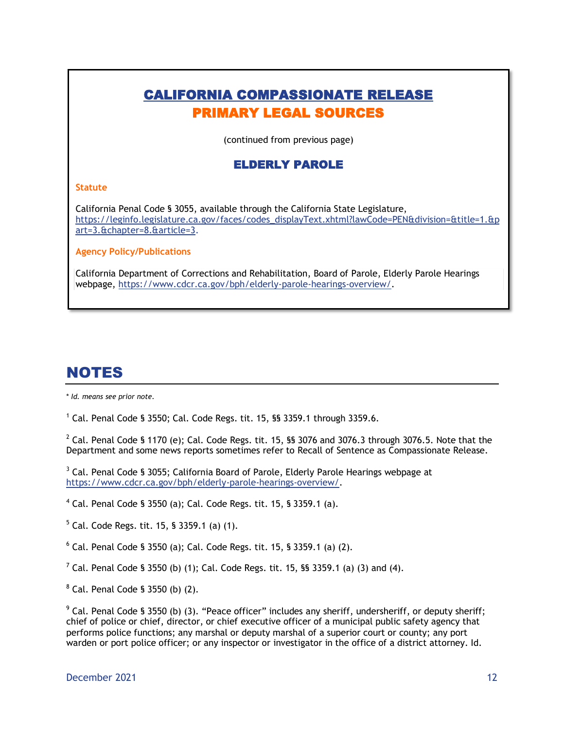## CALIFORNIA COMPASSIONATE RELEASE PRIMARY LEGAL SOURCES

(continued from previous page)

#### ELDERLY PAROLE

#### **Statute**

California Penal Code § 3055, available through the California State Legislature, [https://leginfo.legislature.ca.gov/faces/codes\\_displayText.xhtml?lawCode=PEN&division=&title=1.&p](https://leginfo.legislature.ca.gov/faces/codes_displayText.xhtml?lawCode=PEN&division=&title=1.&part=3.&chapter=8.&article=3) [art=3.&chapter=8.&article=3.](https://leginfo.legislature.ca.gov/faces/codes_displayText.xhtml?lawCode=PEN&division=&title=1.&part=3.&chapter=8.&article=3)

**Agency Policy/Publications**

California Department of Corrections and Rehabilitation, Board of Parole, Elderly Parole Hearings webpage, [https://www.cdcr.ca.gov/bph/elderly-parole-hearings-overview/.](https://www.cdcr.ca.gov/bph/elderly-parole-hearings-overview/)

# NOTES

\* *Id. means see prior note.*

 $1$  Cal. Penal Code § 3550; Cal. Code Regs. tit. 15, §§ 3359.1 through 3359.6.

 $^2$  Cal. Penal Code § 1170 (e); Cal. Code Regs. tit. 15, §§ 3076 and 3076.3 through 3076.5. Note that the Department and some news reports sometimes refer to Recall of Sentence as Compassionate Release.

<sup>3</sup> Cal. Penal Code § 3055; California Board of Parole, Elderly Parole Hearings webpage at [https://www.cdcr.ca.gov/bph/elderly-parole-hearings-overview/.](https://www.cdcr.ca.gov/bph/elderly-parole-hearings-overview/)

 $4$  Cal. Penal Code § 3550 (a); Cal. Code Regs. tit. 15, § 3359.1 (a).

 $5$  Cal. Code Regs. tit. 15, § 3359.1 (a) (1).

 $6$  Cal. Penal Code § 3550 (a); Cal. Code Regs. tit. 15, § 3359.1 (a) (2).

<sup>7</sup> Cal. Penal Code § 3550 (b) (1); Cal. Code Regs. tit. 15, §§ 3359.1 (a) (3) and (4).

 $8$  Cal. Penal Code § 3550 (b) (2).

 $9$  Cal. Penal Code § 3550 (b) (3). "Peace officer" includes any sheriff, undersheriff, or deputy sheriff; chief of police or chief, director, or chief executive officer of a municipal public safety agency that performs police functions; any marshal or deputy marshal of a superior court or county; any port warden or port police officer; or any inspector or investigator in the office of a district attorney. Id.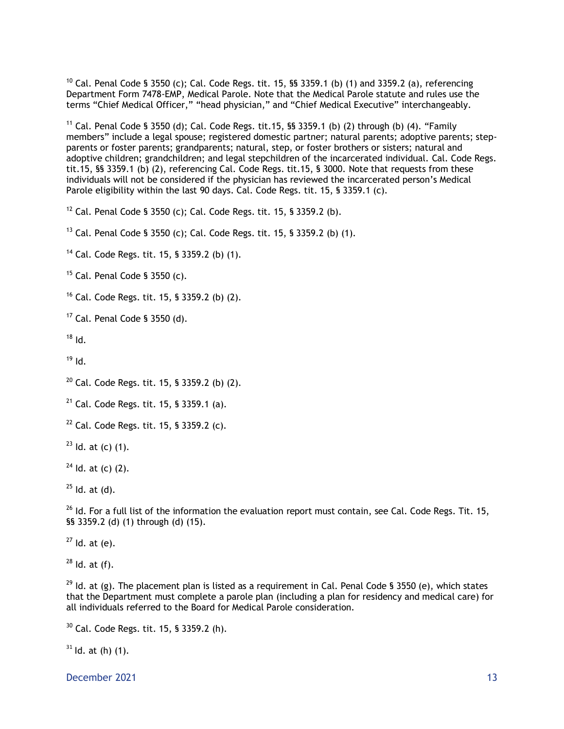$10$  Cal. Penal Code § 3550 (c); Cal. Code Regs. tit. 15, §§ 3359.1 (b) (1) and 3359.2 (a), referencing Department Form 7478-EMP, Medical Parole. Note that the Medical Parole statute and rules use the terms "Chief Medical Officer," "head physician," and "Chief Medical Executive" interchangeably.

<sup>11</sup> Cal. Penal Code § 3550 (d); Cal. Code Regs. tit.15, §§ 3359.1 (b) (2) through (b) (4). "Family members" include a legal spouse; registered domestic partner; natural parents; adoptive parents; stepparents or foster parents; grandparents; natural, step, or foster brothers or sisters; natural and adoptive children; grandchildren; and legal stepchildren of the incarcerated individual. Cal. Code Regs. tit.15, §§ 3359.1 (b) (2), referencing Cal. Code Regs. tit.15, § 3000. Note that requests from these individuals will not be considered if the physician has reviewed the incarcerated person's Medical Parole eligibility within the last 90 days. Cal. Code Regs. tit. 15, § 3359.1 (c).

<sup>12</sup> Cal. Penal Code § 3550 (c); Cal. Code Regs. tit. 15, § 3359.2 (b).

<sup>13</sup> Cal. Penal Code § 3550 (c); Cal. Code Regs. tit. 15, § 3359.2 (b) (1).

<sup>14</sup> Cal. Code Regs. tit. 15, § 3359.2 (b) (1).

 $15$  Cal. Penal Code § 3550 (c).

<sup>16</sup> Cal. Code Regs. tit. 15, § 3359.2 (b) (2).

 $17$  Cal. Penal Code § 3550 (d).

 $18$  Id.

 $19$  Id.

 $20$  Cal. Code Regs. tit. 15, § 3359.2 (b) (2).

 $21$  Cal. Code Regs. tit. 15, § 3359.1 (a).

 $22$  Cal. Code Regs. tit. 15, § 3359.2 (c).

 $23$  Id. at (c) (1).

 $24$  Id. at (c) (2).

 $25$  Id. at (d).

 $26$  Id. For a full list of the information the evaluation report must contain, see Cal. Code Regs. Tit. 15, §§ 3359.2 (d) (1) through (d) (15).

 $27$  ld. at (e).

 $28$  Id. at (f).

 $^{29}$  Id. at (g). The placement plan is listed as a requirement in Cal. Penal Code § 3550 (e), which states that the Department must complete a parole plan (including a plan for residency and medical care) for all individuals referred to the Board for Medical Parole consideration.

 $30$  Cal. Code Regs. tit. 15, § 3359.2 (h).

 $31$  Id. at (h) (1).

December 2021 13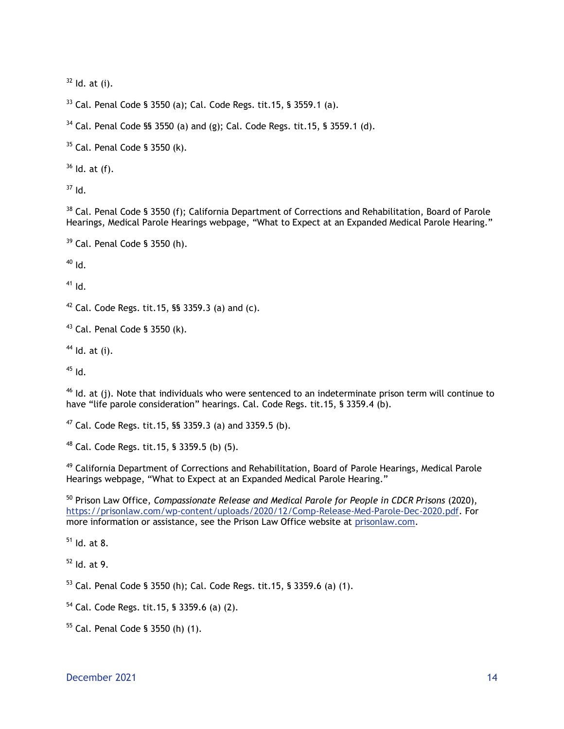Id. at (i).

Cal. Penal Code § 3550 (a); Cal. Code Regs. tit.15, § 3559.1 (a).

Cal. Penal Code §§ 3550 (a) and (g); Cal. Code Regs. tit.15, § 3559.1 (d).

Cal. Penal Code § 3550 (k).

Id. at (f).

Id.

<sup>38</sup> Cal. Penal Code § 3550 (f); California Department of Corrections and Rehabilitation, Board of Parole Hearings, Medical Parole Hearings webpage, "What to Expect at an Expanded Medical Parole Hearing."

```
39 Cal. Penal Code § 3550 (h).
```
Id.

Id.

Cal. Code Regs. tit.15, §§ 3359.3 (a) and (c).

Cal. Penal Code § 3550 (k).

Id. at (i).

Id.

 Id. at (j). Note that individuals who were sentenced to an indeterminate prison term will continue to have "life parole consideration" hearings. Cal. Code Regs. tit.15, § 3359.4 (b).

Cal. Code Regs. tit.15, §§ 3359.3 (a) and 3359.5 (b).

Cal. Code Regs. tit.15, § 3359.5 (b) (5).

 California Department of Corrections and Rehabilitation, Board of Parole Hearings, Medical Parole Hearings webpage, "What to Expect at an Expanded Medical Parole Hearing."

 Prison Law Office, *Compassionate Release and Medical Parole for People in CDCR Prisons* (2020), [https://prisonlaw.com/wp-content/uploads/2020/12/Comp-Release-Med-Parole-Dec-2020.pdf.](https://prisonlaw.com/wp-content/uploads/2020/12/Comp-Release-Med-Parole-Dec-2020.pdf) For more information or assistance, see the Prison Law Office website at prisonlaw.com.

Id. at 8.

Id. at 9.

Cal. Penal Code § 3550 (h); Cal. Code Regs. tit.15, § 3359.6 (a) (1).

Cal. Code Regs. tit.15, § 3359.6 (a) (2).

Cal. Penal Code § 3550 (h) (1).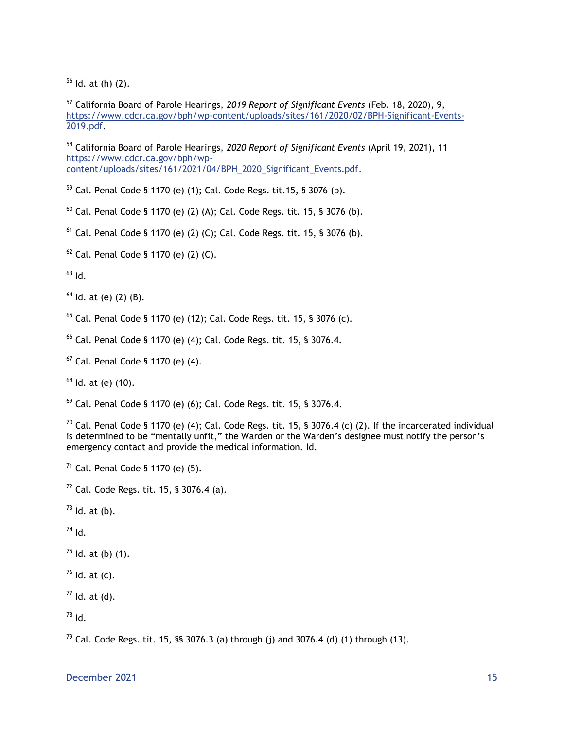$56$  Id. at (h) (2).

<sup>57</sup> California Board of Parole Hearings, *2019 Report of Significant Events* (Feb. 18, 2020), 9, [https://www.cdcr.ca.gov/bph/wp-content/uploads/sites/161/2020/02/BPH-Significant-Events-](https://www.cdcr.ca.gov/bph/wp-content/uploads/sites/161/2020/02/BPH-Significant-Events-2019.pdf)[2019.pdf.](https://www.cdcr.ca.gov/bph/wp-content/uploads/sites/161/2020/02/BPH-Significant-Events-2019.pdf)

<sup>58</sup> California Board of Parole Hearings, *2020 Report of Significant Events* (April 19, 2021), 11 [https://www.cdcr.ca.gov/bph/wp](https://www.cdcr.ca.gov/bph/wp-content/uploads/sites/161/2021/04/BPH_2020_Significant_Events.pdf.)[content/uploads/sites/161/2021/04/BPH\\_2020\\_Significant\\_Events.pdf.](https://www.cdcr.ca.gov/bph/wp-content/uploads/sites/161/2021/04/BPH_2020_Significant_Events.pdf.) 

<sup>59</sup> Cal. Penal Code § 1170 (e) (1); Cal. Code Regs. tit.15, § 3076 (b).

 $60$  Cal. Penal Code § 1170 (e) (2) (A); Cal. Code Regs. tit. 15, § 3076 (b).

 $61$  Cal. Penal Code § 1170 (e) (2) (C); Cal. Code Regs. tit. 15, § 3076 (b).

 $62$  Cal. Penal Code § 1170 (e) (2) (C).

 $h^{63}$  Id.

 $64$  ld. at (e) (2) (B).

 $65$  Cal. Penal Code § 1170 (e) (12); Cal. Code Regs. tit. 15, § 3076 (c).

<sup>66</sup> Cal. Penal Code § 1170 (e) (4); Cal. Code Regs. tit. 15, § 3076.4.

<sup>67</sup> Cal. Penal Code § 1170 (e) (4).

 $68$  Id. at (e) (10).

 $69$  Cal. Penal Code § 1170 (e) (6); Cal. Code Regs. tit. 15, § 3076.4.

 $^{70}$  Cal. Penal Code § 1170 (e) (4); Cal. Code Regs. tit. 15, § 3076.4 (c) (2). If the incarcerated individual is determined to be "mentally unfit," the Warden or the Warden's designee must notify the person's emergency contact and provide the medical information. Id.

 $71$  Cal. Penal Code § 1170 (e) (5).

 $72$  Cal. Code Regs. tit. 15, § 3076.4 (a).

 $^{73}$  Id. at (b).

 $^{74}$  Id.

 $^{75}$  Id. at (b) (1).

 $76$  Id. at (c).

 $77$  Id. at (d).

<sup>78</sup> Id.

<sup>79</sup> Cal. Code Regs. tit. 15, §§ 3076.3 (a) through (i) and 3076.4 (d) (1) through (13).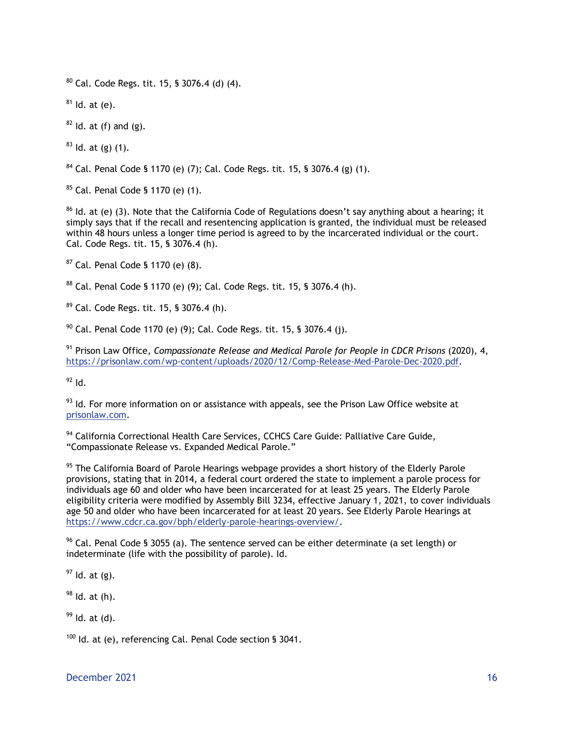$80$  Cal. Code Regs. tit. 15, § 3076.4 (d) (4).

 $81$  Id. at (e).

 $82$  Id. at (f) and (g).

 $83$  ld. at (g) (1).

 $84$  Cal. Penal Code § 1170 (e) (7); Cal. Code Regs. tit. 15, § 3076.4 (g) (1).

<sup>85</sup> Cal. Penal Code § 1170 (e) (1).

 $86$  Id. at (e) (3). Note that the California Code of Regulations doesn't say anything about a hearing; it simply says that if the recall and resentencing application is granted, the individual must be released within 48 hours unless a longer time period is agreed to by the incarcerated individual or the court. Cal. Code Regs. tit. 15, § 3076.4 (h).

<sup>87</sup> Cal. Penal Code § 1170 (e) (8).

<sup>88</sup> Cal. Penal Code § 1170 (e) (9); Cal. Code Regs. tit. 15, § 3076.4 (h).

<sup>89</sup> Cal. Code Regs. tit. 15, § 3076.4 (h).

 $90$  Cal. Penal Code 1170 (e) (9); Cal. Code Regs. tit. 15, § 3076.4 (j).

<sup>91</sup> Prison Law Office, *Compassionate Release and Medical Parole for People in CDCR Prisons* (2020), 4, [https://prisonlaw.com/wp-content/uploads/2020/12/Comp-Release-Med-Parole-Dec-2020.pdf.](https://prisonlaw.com/wp-content/uploads/2020/12/Comp-Release-Med-Parole-Dec-2020.pdf)

 $92$  Id.

 $93$  Id. For more information on or assistance with appeals, see the Prison Law Office website at prisonlaw.com.

<sup>94</sup> California Correctional Health Care Services, CCHCS Care Guide: Palliative Care Guide, "Compassionate Release vs. Expanded Medical Parole."

 $95$  The California Board of Parole Hearings webpage provides a short history of the Elderly Parole provisions, stating that in 2014, a federal court ordered the state to implement a parole process for individuals age 60 and older who have been incarcerated for at least 25 years. The Elderly Parole eligibility criteria were modified by Assembly Bill 3234, effective January 1, 2021, to cover individuals age 50 and older who have been incarcerated for at least 20 years. See Elderly Parole Hearings at [https://www.cdcr.ca.gov/bph/elderly-parole-hearings-overview/.](https://www.cdcr.ca.gov/bph/elderly-parole-hearings-overview/)

 $96$  Cal. Penal Code § 3055 (a). The sentence served can be either determinate (a set length) or indeterminate (life with the possibility of parole). Id.

 $97$  Id. at (g).

 $98$  Id. at (h).

 $99$  Id. at (d).

 $100$  Id. at (e), referencing Cal. Penal Code section § 3041.